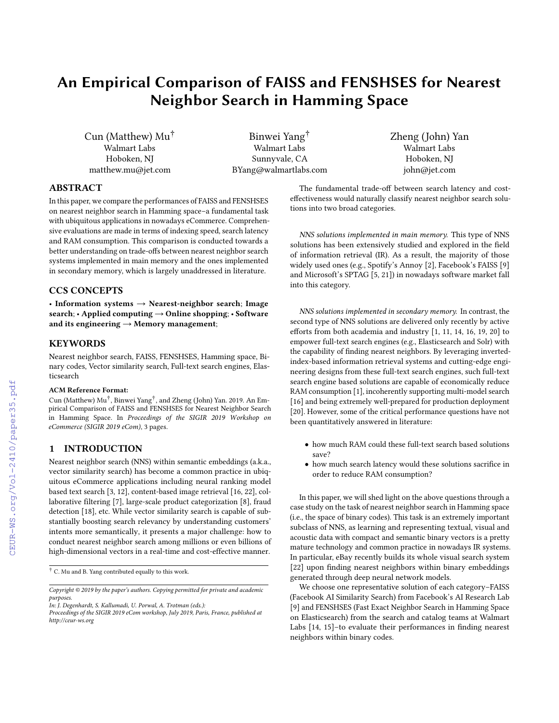# An Empirical Comparison of FAISS and FENSHSES for Nearest Neighbor Search in Hamming Space

Cun (Matthew) Mu† Walmart Labs Hoboken, NJ matthew.mu@jet.com

Binwei Yang† Walmart Labs Sunnyvale, CA BYang@walmartlabs.com Zheng (John) Yan Walmart Labs Hoboken, NJ john@jet.com

## ABSTRACT

In this paper, we compare the performances of FAISS and FENSHSES on nearest neighbor search in Hamming space–a fundamental task with ubiquitous applications in nowadays eCommerce. Comprehensive evaluations are made in terms of indexing speed, search latency and RAM consumption. This comparison is conducted towards a better understanding on trade-offs between nearest neighbor search systems implemented in main memory and the ones implemented in secondary memory, which is largely unaddressed in literature.

## CCS CONCEPTS

• Information systems  $\rightarrow$  Nearest-neighbor search; Image search; • Applied computing → Online shopping; • Software and its engineering  $\rightarrow$  Memory management;

#### **KEYWORDS**

Nearest neighbor search, FAISS, FENSHSES, Hamming space, Binary codes, Vector similarity search, Full-text search engines, Elasticsearch

#### ACM Reference Format:

Cun (Matthew) Mu† , Binwei Yang† , and Zheng (John) Yan. 2019. An Empirical Comparison of FAISS and FENSHSES for Nearest Neighbor Search in Hamming Space. In *Proceedings of the SIGIR 2019 Workshop on eCommerce (SIGIR 2019 eCom)*, [3](#page--1-0) pages.

## 1 INTRODUCTION

Nearest neighbor search (NNS) within semantic embeddings (a.k.a., vector similarity search) has become a common practice in ubiquitous eCommerce applications including neural ranking model based text search [\[3,](#page--1-1) [12\],](#page--1-2) content-based image retrieval [\[16,](#page--1-3) [22\]](#page--1-4), collaborative filtering [\[7\],](#page--1-5) large-scale product categorization [\[8\]](#page--1-6), fraud detection [\[18\],](#page--1-7) etc. While vector similarity search is capable of substantially boosting search relevancy by understanding customers' intents more semantically, it presents a major challenge: how to conduct nearest neighbor search among millions or even billions of high-dimensional vectors in a real-time and cost-effective manner.

The fundamental trade-off between search latency and costeffectiveness would naturally classify nearest neighbor search solutions into two broad categories.

NNS solutions implemented in main memory. This type of NNS solutions has been extensively studied and explored in the field of information retrieval (IR). As a result, the majority of those widely used ones (e.g., Spotify's Annoy [\[2\]](#page--1-8), Facebook's FAISS [\[9\]](#page--1-9) and Microsoft's SPTAG [\[5,](#page--1-10) [21\]](#page--1-11)) in nowadays software market fall into this category.

NNS solutions implemented in secondary memory. In contrast, the second type of NNS solutions are delivered only recently by active efforts from both academia and industry [\[1,](#page--1-12) [11,](#page--1-13) [14,](#page--1-14) [16,](#page--1-3) [19,](#page--1-15) [20\]](#page--1-16) to empower full-text search engines (e.g., Elasticsearch and Solr) with the capability of finding nearest neighbors. By leveraging invertedindex-based information retrieval systems and cutting-edge engineering designs from these full-text search engines, such full-text search engine based solutions are capable of economically reduce RAM consumption [\[1\]](#page--1-12), incoherently supporting multi-model search [\[16\]](#page--1-3) and being extremely well-prepared for production deployment [\[20\]](#page--1-16). However, some of the critical performance questions have not been quantitatively answered in literature:

- how much RAM could these full-text search based solutions save?
- how much search latency would these solutions sacrifice in order to reduce RAM consumption?

In this paper, we will shed light on the above questions through a case study on the task of nearest neighbor search in Hamming space (i.e., the space of binary codes). This task is an extremely important subclass of NNS, as learning and representing textual, visual and acoustic data with compact and semantic binary vectors is a pretty mature technology and common practice in nowadays IR systems. In particular, eBay recently builds its whole visual search system [\[22\]](#page--1-4) upon finding nearest neighbors within binary embeddings generated through deep neural network models.

We choose one representative solution of each category–FAISS (Facebook AI Similarity Search) from Facebook's AI Research Lab [\[9\]](#page--1-9) and FENSHSES (Fast Exact Neighbor Search in Hamming Space on Elasticsearch) from the search and catalog teams at Walmart Labs [\[14,](#page--1-14) [15\]](#page--1-17)–to evaluate their performances in finding nearest neighbors within binary codes.

<sup>†</sup> C. Mu and B. Yang contributed equally to this work.

*Copyright © 2019 by the paper's authors. Copying permitted for private and academic purposes.*

*In: J. Degenhardt, S. Kallumadi, U. Porwal, A. Trotman (eds.):*

*Proceedings of the SIGIR 2019 eCom workshop, July 2019, Paris, France, published at http://ceur-ws.org*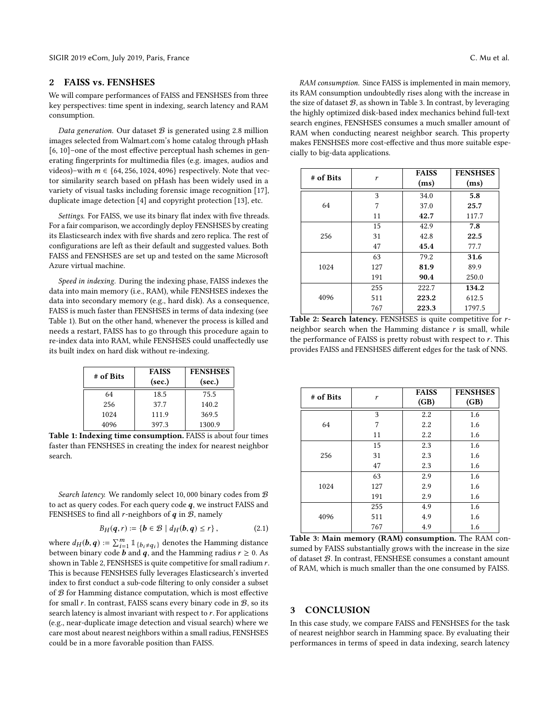### 2 FAISS vs. FENSHSES

We will compare performances of FAISS and FENSHSES from three key perspectives: time spent in indexing, search latency and RAM consumption.

Data generation. Our dataset  $B$  is generated using 2.8 million images selected from Walmart.com's home catalog through pHash [\[6,](#page-2-0) [10\]](#page-2-1)–one of the most effective perceptual hash schemes in generating fingerprints for multimedia files (e.g. images, audios and videos)–with  $m \in \{64, 256, 1024, 4096\}$  respectively. Note that vector similarity search based on pHash has been widely used in a variety of visual tasks including forensic image recognition [\[17\]](#page-2-2), duplicate image detection [\[4\]](#page-2-3) and copyright protection [\[13\]](#page-2-4), etc.

Settings. For FAISS, we use its binary flat index with five threads. For a fair comparison, we accordingly deploy FENSHSES by creating its Elasticsearch index with five shards and zero replica. The rest of configurations are left as their default and suggested values. Both FAISS and FENSHSES are set up and tested on the same Microsoft Azure virtual machine.

Speed in indexing. During the indexing phase, FAISS indexes the data into main memory (i.e., RAM), while FENSHSES indexes the data into secondary memory (e.g., hard disk). As a consequence, FAISS is much faster than FENSHSES in terms of data indexing (see Table [1\)](#page-1-0). But on the other hand, whenever the process is killed and needs a restart, FAISS has to go through this procedure again to re-index data into RAM, while FENSHSES could unaffectedly use its built index on hard disk without re-indexing.

<span id="page-1-0"></span>

| # of Bits | <b>FAISS</b> | <b>FENSHSES</b> |
|-----------|--------------|-----------------|
|           | (sec.)       | (sec.)          |
| 64        | 18.5         | 75.5            |
| 256       | 37.7         | 140.2           |
| 1024      | 111.9        | 369.5           |
| 4096      | 397.3        | 1300.9          |

Table 1: Indexing time consumption. FAISS is about four times faster than FENSHSES in creating the index for nearest neighbor search.

Search latency. We randomly select 10,000 binary codes from  $B$ to act as query codes. For each query code  $q$ , we instruct FAISS and FENSHSES to find all *r*-neighbors of  $q$  in  $B$ , namely

$$
B_H(q,r) := \{ b \in \mathcal{B} \mid d_H(b,q) \le r \},\tag{2.1}
$$

where  $d_H(b, q) := \sum_{i=1}^m \mathbb{1}_{\{b_i \neq q_i\}}$  denotes the Hamming distance<br>between binary code **b** and *a* and the Hamming rediue  $x > 0$ . between binary code **b** and **q**, and the Hamming radius  $r \ge 0$ . As shown in Table 2, FENSHSES is quite competitive for small radium  $r$ . This is because FENSHSES fully leverages Elasticsearch's inverted index to first conduct a sub-code filtering to only consider a subset of  $B$  for Hamming distance computation, which is most effective for small  $r$ . In contrast, FAISS scans every binary code in  $B$ , so its search latency is almost invariant with respect to  $r$ . For applications (e.g., near-duplicate image detection and visual search) where we care most about nearest neighbors within a small radius, FENSHSES could be in a more favorable position than FAISS.

RAM consumption. Since FAISS is implemented in main memory, its RAM consumption undoubtedly rises along with the increase in the size of dataset  $B$ , as shown in Table [3.](#page-1-1) In contrast, by leveraging the highly optimized disk-based index mechanics behind full-text search engines, FENSHSES consumes a much smaller amount of RAM when conducting nearest neighbor search. This property makes FENSHSES more cost-effective and thus more suitable especially to big-data applications.

| # of Bits | r   | <b>FAISS</b><br>(ms) | <b>FENSHSES</b><br>(ms) |
|-----------|-----|----------------------|-------------------------|
| 64        | 3   | 34.0                 | 5.8                     |
|           | 7   | 37.0                 | 25.7                    |
|           | 11  | 42.7                 | 117.7                   |
| 256       | 15  | 42.9                 | 7.8                     |
|           | 31  | 42.8                 | 22.5                    |
|           | 47  | 45.4                 | 77.7                    |
| 1024      | 63  | 79.2                 | 31.6                    |
|           | 127 | 81.9                 | 89.9                    |
|           | 191 | 90.4                 | 250.0                   |
| 4096      | 255 | 222.7                | 134.2                   |
|           | 511 | 223.2                | 612.5                   |
|           | 767 | 223.3                | 1797.5                  |

Table 2: Search latency. FENSHSES is quite competitive for rneighbor search when the Hamming distance  $r$  is small, while the performance of FAISS is pretty robust with respect to  $r$ . This provides FAISS and FENSHSES different edges for the task of NNS.

<span id="page-1-1"></span>

| # of Bits | r   | <b>FAISS</b> | <b>FENSHSES</b> |
|-----------|-----|--------------|-----------------|
|           |     | (GB)         | (GB)            |
| 64        | 3   | 2.2          | 1.6             |
|           | 7   | 2.2          | 1.6             |
|           | 11  | 2.2          | 1.6             |
| 256       | 15  | 2.3          | 1.6             |
|           | 31  | 2.3          | 1.6             |
|           | 47  | 2.3          | 1.6             |
| 1024      | 63  | 2.9          | 1.6             |
|           | 127 | 2.9          | 1.6             |
|           | 191 | 2.9          | 1.6             |
| 4096      | 255 | 4.9          | 1.6             |
|           | 511 | 4.9          | 1.6             |
|           | 767 | 4.9          | 1.6             |

Table 3: Main memory (RAM) consumption. The RAM consumed by FAISS substantially grows with the increase in the size of dataset B. In contrast, FENSHESE consumes a constant amount of RAM, which is much smaller than the one consumed by FAISS.

#### 3 CONCLUSION

In this case study, we compare FAISS and FENSHSES for the task of nearest neighbor search in Hamming space. By evaluating their performances in terms of speed in data indexing, search latency